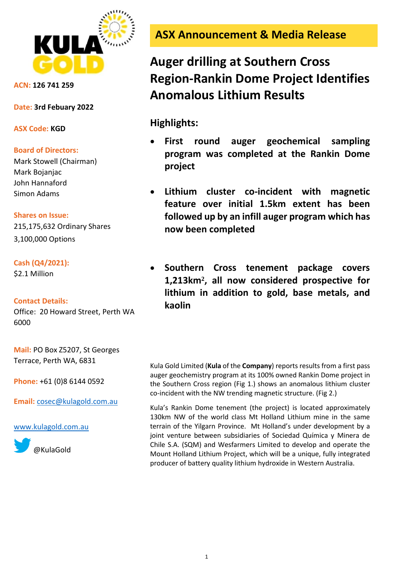

**ACN: 126 741 259**

**Date: 3rd Febuary 2022**

**ASX Code: KGD**

### **Board of Directors:**

Mark Stowell (Chairman) Mark Bojanjac John Hannaford Simon Adams

## **Shares on Issue:**

215,175,632 Ordinary Shares 3,100,000 Options

## **Cash (Q4/2021):**

\$2.1 Million

## **Contact Details:**

Office: 20 Howard Street, Perth WA 6000

**Mail:** PO Box Z5207, St Georges Terrace, Perth WA, 6831

**Phone:** +61 (0)8 6144 0592

**Email:** [cosec@kulagold.com.au](mailto:cosec@kulagold.com.au)

[www.kulagold.com.au](http://www.kulagold.com.au/)



**ASX Announcement & Media Release**

# **Auger drilling at Southern Cross Region-Rankin Dome Project Identifies Anomalous Lithium Results**

**Highlights:**

- **First round auger geochemical sampling program was completed at the Rankin Dome project**
- **Lithium cluster co-incident with magnetic feature over initial 1.5km extent has been followed up by an infill auger program which has now been completed**
- **Southern Cross tenement package covers 1,213km², all now considered prospective for lithium in addition to gold, base metals, and kaolin**

Kula Gold Limited (**Kula** of the **Company**) reports results from a first pass auger geochemistry program at its 100% owned Rankin Dome project in the Southern Cross region (Fig 1.) shows an anomalous lithium cluster co-incident with the NW trending magnetic structure. (Fig 2.)

Kula's Rankin Dome tenement (the project) is located approximately 130km NW of the world class Mt Holland Lithium mine in the same terrain of the Yilgarn Province. Mt Holland's under development by a joint venture between subsidiaries of Sociedad Química y Minera de Chile S.A. (SQM) and Wesfarmers Limited to develop and operate the Mount Holland Lithium Project, which will be a unique, fully integrated producer of battery quality lithium hydroxide in Western Australia.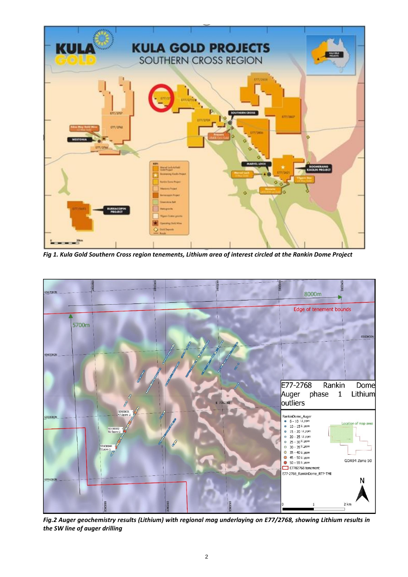

*Fig 1. Kula Gold Southern Cross region tenements, Lithium area of interest circled at the Rankin Dome Project*



*Fig.2 Auger geochemistry results (Lithium) with regional mag underlaying on E77/2768, showing Lithium results in the SW line of auger drilling*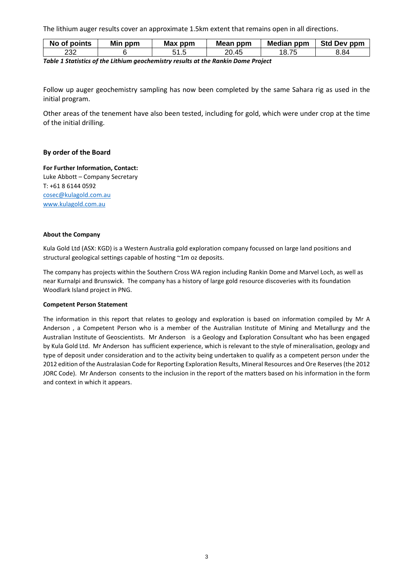The lithium auger results cover an approximate 1.5km extent that remains open in all directions.

| No of points | Min ppm | Max ppm | Mean ppm | Median ppm | <b>Std Dev ppm</b> |
|--------------|---------|---------|----------|------------|--------------------|
| 232          |         | ∪ . ∪   | 20.45    | 18. .      | 8.84               |

*Table 1 Statistics of the Lithium geochemistry results at the Rankin Dome Project*

Follow up auger geochemistry sampling has now been completed by the same Sahara rig as used in the initial program.

Other areas of the tenement have also been tested, including for gold, which were under crop at the time of the initial drilling.

#### **By order of the Board**

**For Further Information, Contact:** Luke Abbott – Company Secretary T: +61 8 6144 0592 [cosec@kulagold.com.au](mailto:cosec@kulagold.com.au) [www.kulagold.com.au](http://www.kulagold.com.au/)

#### **About the Company**

Kula Gold Ltd (ASX: KGD) is a Western Australia gold exploration company focussed on large land positions and structural geological settings capable of hosting ~1m oz deposits.

The company has projects within the Southern Cross WA region including Rankin Dome and Marvel Loch, as well as near Kurnalpi and Brunswick. The company has a history of large gold resource discoveries with its foundation Woodlark Island project in PNG.

#### **Competent Person Statement**

The information in this report that relates to geology and exploration is based on information compiled by Mr A Anderson , a Competent Person who is a member of the Australian Institute of Mining and Metallurgy and the Australian Institute of Geoscientists. Mr Anderson is a Geology and Exploration Consultant who has been engaged by Kula Gold Ltd. Mr Anderson has sufficient experience, which is relevant to the style of mineralisation, geology and type of deposit under consideration and to the activity being undertaken to qualify as a competent person under the 2012 edition of the Australasian Code for Reporting Exploration Results, Mineral Resources and Ore Reserves (the 2012 JORC Code). Mr Anderson consents to the inclusion in the report of the matters based on his information in the form and context in which it appears.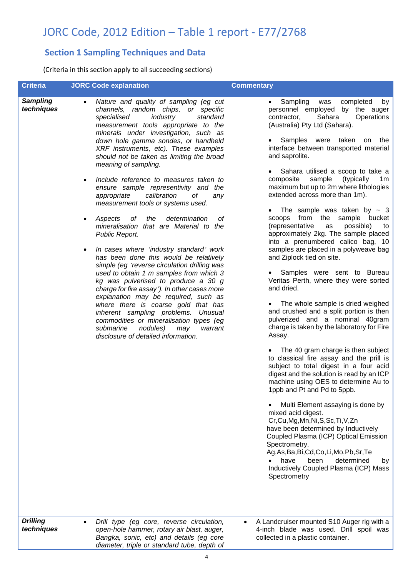## JORC Code, 2012 Edition – Table 1 report - E77/2768

## **Section 1 Sampling Techniques and Data**

(Criteria in this section apply to all succeeding sections)

| <b>Criteria</b>               | <b>JORC Code explanation</b>                                                                                                                                                                                                                                                                                                                                                                                                                                                                                                                                                                                                                                                                                                                                                                                                                                                                                                                                                                                                                                                                                                                                                                            | <b>Commentary</b>                                                                                                                                                                                                                                                                                                                                                                                                                                                                                                                                                                                                                                                                                                                                                                                                                                                                                                                                                                                                                                                                                                                                                                                                                                                                                                                                                                                                                                                                                                                                               |
|-------------------------------|---------------------------------------------------------------------------------------------------------------------------------------------------------------------------------------------------------------------------------------------------------------------------------------------------------------------------------------------------------------------------------------------------------------------------------------------------------------------------------------------------------------------------------------------------------------------------------------------------------------------------------------------------------------------------------------------------------------------------------------------------------------------------------------------------------------------------------------------------------------------------------------------------------------------------------------------------------------------------------------------------------------------------------------------------------------------------------------------------------------------------------------------------------------------------------------------------------|-----------------------------------------------------------------------------------------------------------------------------------------------------------------------------------------------------------------------------------------------------------------------------------------------------------------------------------------------------------------------------------------------------------------------------------------------------------------------------------------------------------------------------------------------------------------------------------------------------------------------------------------------------------------------------------------------------------------------------------------------------------------------------------------------------------------------------------------------------------------------------------------------------------------------------------------------------------------------------------------------------------------------------------------------------------------------------------------------------------------------------------------------------------------------------------------------------------------------------------------------------------------------------------------------------------------------------------------------------------------------------------------------------------------------------------------------------------------------------------------------------------------------------------------------------------------|
| <b>Sampling</b><br>techniques | Nature and quality of sampling (eg cut<br>$\bullet$<br>channels, random chips, or specific<br>specialised<br>industry<br>standard<br>measurement tools appropriate to the<br>minerals under investigation, such as<br>down hole gamma sondes, or handheld<br>XRF instruments, etc). These examples<br>should not be taken as limiting the broad<br>meaning of sampling.<br>Include reference to measures taken to<br>٠<br>ensure sample representivity and the<br>calibration<br>оf<br>appropriate<br>any<br>measurement tools or systems used.<br>determination<br>Aspects<br>оf<br>the<br>οf<br>٠<br>mineralisation that are Material to the<br>Public Report.<br>In cases where 'industry standard' work<br>$\bullet$<br>has been done this would be relatively<br>simple (eg 'reverse circulation drilling was<br>used to obtain 1 m samples from which 3<br>kg was pulverised to produce a 30 g<br>charge for fire assay'). In other cases more<br>explanation may be required, such as<br>where there is coarse gold that has<br>inherent sampling problems. Unusual<br>commodities or mineralisation types (eg<br>submarine<br>nodules)<br>may<br>warrant<br>disclosure of detailed information. | Sampling<br>completed<br>was<br>by<br>$\bullet$<br>personnel employed by the auger<br>contractor,<br>Sahara<br>Operations<br>(Australia) Pty Ltd (Sahara).<br>• Samples were taken on<br>the<br>interface between transported material<br>and saprolite.<br>Sahara utilised a scoop to take a<br>sample<br>(typically<br>composite<br>1 <sub>m</sub><br>maximum but up to 2m where lithologies<br>extended across more than 1m).<br>The sample was taken by $\sim$ 3<br>scoops from the sample bucket<br>(representative<br>possible)<br>as<br>to<br>approximately 2kg. The sample placed<br>into a prenumbered calico bag, 10<br>samples are placed in a polyweave bag<br>and Ziplock tied on site.<br>• Samples were sent to Bureau<br>Veritas Perth, where they were sorted<br>and dried.<br>• The whole sample is dried weighed<br>and crushed and a split portion is then<br>pulverized and a nominal 40gram<br>charge is taken by the laboratory for Fire<br>Assay.<br>The 40 gram charge is then subject<br>to classical fire assay and the prill is<br>subject to total digest in a four acid<br>digest and the solution is read by an ICP<br>machine using OES to determine Au to<br>1ppb and Pt and Pd to 5ppb.<br>Multi Element assaying is done by<br>mixed acid digest.<br>Cr,Cu,Mg,Mn,Ni,S,Sc,Ti,V,Zn<br>have been determined by Inductively<br>Coupled Plasma (ICP) Optical Emission<br>Spectrometry.<br>Ag, As, Ba, Bi, Cd, Co, Li, Mo, Pb, Sr, Te<br>have<br>been<br>determined<br>by<br>Inductively Coupled Plasma (ICP) Mass<br>Spectrometry |
| <b>Drilling</b><br>techniques | Drill type (eg core, reverse circulation,<br>$\bullet$<br>open-hole hammer, rotary air blast, auger,<br>Bangka, sonic, etc) and details (eg core                                                                                                                                                                                                                                                                                                                                                                                                                                                                                                                                                                                                                                                                                                                                                                                                                                                                                                                                                                                                                                                        | A Landcruiser mounted S10 Auger rig with a<br>4-inch blade was used. Drill spoil was<br>collected in a plastic container.                                                                                                                                                                                                                                                                                                                                                                                                                                                                                                                                                                                                                                                                                                                                                                                                                                                                                                                                                                                                                                                                                                                                                                                                                                                                                                                                                                                                                                       |

*diameter, triple or standard tube, depth of*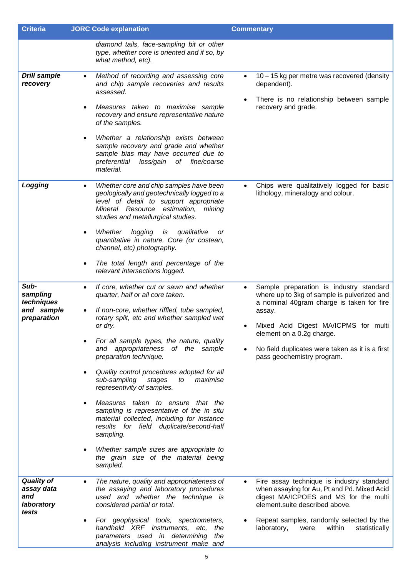| <b>Criteria</b>                                               | <b>JORC Code explanation</b>                                                                                                                                                                                                                                                                                                                                                                                                                                                                                                                                                                                                                                                                                                        | <b>Commentary</b>                                                                                                                                                                                                                                                                                                |
|---------------------------------------------------------------|-------------------------------------------------------------------------------------------------------------------------------------------------------------------------------------------------------------------------------------------------------------------------------------------------------------------------------------------------------------------------------------------------------------------------------------------------------------------------------------------------------------------------------------------------------------------------------------------------------------------------------------------------------------------------------------------------------------------------------------|------------------------------------------------------------------------------------------------------------------------------------------------------------------------------------------------------------------------------------------------------------------------------------------------------------------|
|                                                               | diamond tails, face-sampling bit or other<br>type, whether core is oriented and if so, by<br>what method, etc).                                                                                                                                                                                                                                                                                                                                                                                                                                                                                                                                                                                                                     |                                                                                                                                                                                                                                                                                                                  |
| <b>Drill sample</b><br>recovery<br>Logging                    | Method of recording and assessing core<br>$\bullet$<br>and chip sample recoveries and results<br>assessed.<br>Measures taken to maximise sample<br>٠<br>recovery and ensure representative nature<br>of the samples.<br>Whether a relationship exists between<br>٠<br>sample recovery and grade and whether<br>sample bias may have occurred due to<br>loss/gain of fine/coarse<br>preferential<br>material.<br>Whether core and chip samples have been<br>$\bullet$<br>geologically and geotechnically logged to a                                                                                                                                                                                                                 | $10 - 15$ kg per metre was recovered (density<br>dependent).<br>There is no relationship between sample<br>recovery and grade.<br>Chips were qualitatively logged for basic<br>lithology, mineralogy and colour.                                                                                                 |
|                                                               | level of detail to support appropriate<br>Mineral Resource estimation,<br>mining<br>studies and metallurgical studies.<br>Whether logging<br>is<br>qualitative<br>or<br>٠<br>quantitative in nature. Core (or costean,<br>channel, etc) photography.<br>The total length and percentage of the<br>٠<br>relevant intersections logged.                                                                                                                                                                                                                                                                                                                                                                                               |                                                                                                                                                                                                                                                                                                                  |
| Sub-<br>sampling<br>techniques<br>and sample<br>preparation   | If core, whether cut or sawn and whether<br>$\bullet$<br>quarter, half or all core taken.<br>If non-core, whether riffled, tube sampled,<br>rotary split, etc and whether sampled wet<br>or dry.<br>For all sample types, the nature, quality<br>appropriateness of the sample<br>and<br>preparation technique.<br>Quality control procedures adopted for all<br>sub-sampling<br>stages<br>to<br>maximise<br>representivity of samples.<br>Measures taken to ensure that the<br>sampling is representative of the in situ<br>material collected, including for instance<br>results for field duplicate/second-half<br>sampling.<br>Whether sample sizes are appropriate to<br>٠<br>the grain size of the material being<br>sampled. | Sample preparation is industry standard<br>where up to 3kg of sample is pulverized and<br>a nominal 40gram charge is taken for fire<br>assay.<br>Mixed Acid Digest MA/ICPMS for multi<br>$\bullet$<br>element on a 0.2g charge.<br>No field duplicates were taken as it is a first<br>pass geochemistry program. |
| <b>Quality of</b><br>assay data<br>and<br>laboratory<br>tests | The nature, quality and appropriateness of<br>$\bullet$<br>the assaying and laboratory procedures<br>used and whether the technique is<br>considered partial or total.<br>For geophysical tools, spectrometers,<br>handheld XRF instruments, etc, the<br>parameters used in determining the<br>analysis including instrument make and                                                                                                                                                                                                                                                                                                                                                                                               | Fire assay technique is industry standard<br>when assaying for Au, Pt and Pd. Mixed Acid<br>digest MA/ICPOES and MS for the multi<br>element.suite described above.<br>Repeat samples, randomly selected by the<br>laboratory,<br>within<br>statistically<br>were                                                |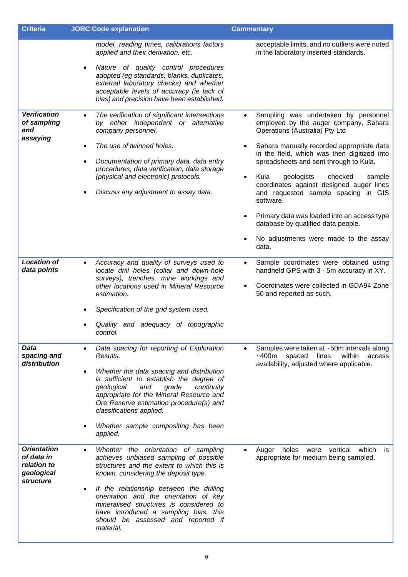| <b>Criteria</b>                                                            | <b>JORC Code explanation</b>                                                                                                                                                                                                                                                                                                                                                                                               | <b>Commentary</b>                                                                                                                                                                                                                                                                                                                                                                                                                                                                                                                                                 |
|----------------------------------------------------------------------------|----------------------------------------------------------------------------------------------------------------------------------------------------------------------------------------------------------------------------------------------------------------------------------------------------------------------------------------------------------------------------------------------------------------------------|-------------------------------------------------------------------------------------------------------------------------------------------------------------------------------------------------------------------------------------------------------------------------------------------------------------------------------------------------------------------------------------------------------------------------------------------------------------------------------------------------------------------------------------------------------------------|
|                                                                            | model, reading times, calibrations factors<br>applied and their derivation, etc.<br>Nature of quality control procedures<br>$\bullet$<br>adopted (eg standards, blanks, duplicates,<br>external laboratory checks) and whether<br>acceptable levels of accuracy (ie lack of<br>bias) and precision have been established.                                                                                                  | acceptable limits, and no outliers were noted<br>in the laboratory inserted standards.                                                                                                                                                                                                                                                                                                                                                                                                                                                                            |
| <b>Verification</b><br>of sampling<br>and<br>assaying                      | The verification of significant intersections<br>$\bullet$<br>by either independent or alternative<br>company personnel.<br>The use of twinned holes.<br>Documentation of primary data, data entry<br>$\bullet$<br>procedures, data verification, data storage<br>(physical and electronic) protocols.<br>Discuss any adjustment to assay data.                                                                            | Sampling was undertaken by personnel<br>$\bullet$<br>employed by the auger company, Sahara<br>Operations (Australia) Pty Ltd<br>Sahara manually recorded appropriate data<br>in the field, which was then digitized into<br>spreadsheets and sent through to Kula.<br>Kula<br>geologists<br>checked<br>sample<br>$\bullet$<br>coordinates against designed auger lines<br>and requested sample spacing in GIS<br>software.<br>Primary data was loaded into an access type<br>database by qualified data people.<br>No adjustments were made to the assay<br>data. |
| <b>Location of</b><br>data points                                          | Accuracy and quality of surveys used to<br>$\bullet$<br>locate drill holes (collar and down-hole<br>surveys), trenches, mine workings and<br>other locations used in Mineral Resource<br>estimation.<br>Specification of the grid system used.<br>Quality and adequacy of topographic<br>control.                                                                                                                          | Sample coordinates were obtained using<br>$\bullet$<br>handheld GPS with 3 - 5m accuracy in XY.<br>Coordinates were collected in GDA94 Zone<br>50 and reported as such.                                                                                                                                                                                                                                                                                                                                                                                           |
| Data<br>spacing and<br>distribution                                        | Data spacing for reporting of Exploration<br>$\bullet$<br>Results.<br>Whether the data spacing and distribution<br>$\bullet$<br>is sufficient to establish the degree of<br>continuity<br>geological<br>and<br>grade<br>appropriate for the Mineral Resource and<br>Ore Reserve estimation procedure(s) and<br>classifications applied.<br>Whether sample compositing has been<br>applied.                                 | Samples were taken at ~50m intervals along<br>$\bullet$<br>within<br>~100m<br>spaced<br>lines.<br>access<br>availability, adjusted where applicable.                                                                                                                                                                                                                                                                                                                                                                                                              |
| <b>Orientation</b><br>of data in<br>relation to<br>geological<br>structure | Whether the orientation of sampling<br>$\bullet$<br>achieves unbiased sampling of possible<br>structures and the extent to which this is<br>known, considering the deposit type.<br>If the relationship between the drilling<br>$\bullet$<br>orientation and the orientation of key<br>mineralised structures is considered to<br>have introduced a sampling bias, this<br>should be assessed and reported if<br>material. | vertical<br>which<br>Auger<br>holes<br>were<br>is<br>$\bullet$<br>appropriate for medium being sampled.                                                                                                                                                                                                                                                                                                                                                                                                                                                           |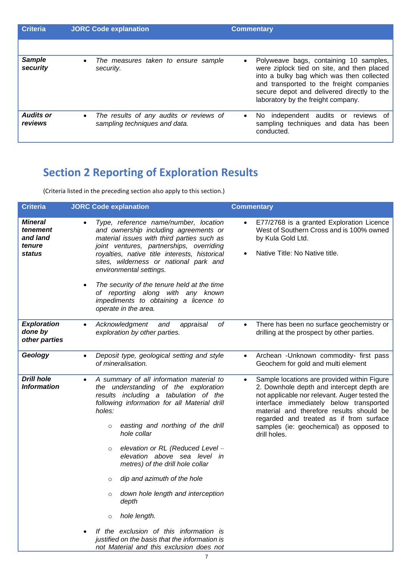| <b>Criteria</b>             | <b>JORC Code explanation</b>                                                          | <b>Commentary</b>                                                                                                                                                                                                                                                      |
|-----------------------------|---------------------------------------------------------------------------------------|------------------------------------------------------------------------------------------------------------------------------------------------------------------------------------------------------------------------------------------------------------------------|
|                             |                                                                                       |                                                                                                                                                                                                                                                                        |
| <b>Sample</b><br>security   | The measures taken to ensure sample<br>$\bullet$<br>security.                         | Polyweave bags, containing 10 samples,<br>٠<br>were ziplock tied on site, and then placed<br>into a bulky bag which was then collected<br>and transported to the freight companies<br>secure depot and delivered directly to the<br>laboratory by the freight company. |
| <b>Audits or</b><br>reviews | The results of any audits or reviews of<br>$\bullet$<br>sampling techniques and data. | independent audits or<br>reviews of<br>$\bullet$<br>No.<br>sampling techniques and data has been<br>conducted.                                                                                                                                                         |

# **Section 2 Reporting of Exploration Results**

(Criteria listed in the preceding section also apply to this section.)

| <b>Criteria</b>                                            | <b>JORC Code explanation</b>                                                                                                                                                                                                                                                                                                                                                                                                                                                                                                                                                                                                                              | <b>Commentary</b>                                                                                                                                                                                                                                                                                                                      |
|------------------------------------------------------------|-----------------------------------------------------------------------------------------------------------------------------------------------------------------------------------------------------------------------------------------------------------------------------------------------------------------------------------------------------------------------------------------------------------------------------------------------------------------------------------------------------------------------------------------------------------------------------------------------------------------------------------------------------------|----------------------------------------------------------------------------------------------------------------------------------------------------------------------------------------------------------------------------------------------------------------------------------------------------------------------------------------|
| <b>Mineral</b><br>tenement<br>and land<br>tenure<br>status | Type, reference name/number, location<br>and ownership including agreements or<br>material issues with third parties such as<br>joint ventures, partnerships, overriding<br>royalties, native title interests, historical<br>sites, wilderness or national park and<br>environmental settings.<br>The security of the tenure held at the time<br>$\bullet$<br>of reporting along with any known<br>impediments to obtaining a licence to<br>operate in the area.                                                                                                                                                                                          | E77/2768 is a granted Exploration Licence<br>West of Southern Cross and is 100% owned<br>by Kula Gold Ltd.<br>Native Title: No Native title.<br>$\bullet$                                                                                                                                                                              |
| <b>Exploration</b><br>done by<br>other parties             | Acknowledgment<br>οf<br>and<br>appraisal<br>$\bullet$<br>exploration by other parties.                                                                                                                                                                                                                                                                                                                                                                                                                                                                                                                                                                    | There has been no surface geochemistry or<br>drilling at the prospect by other parties.                                                                                                                                                                                                                                                |
| Geology                                                    | Deposit type, geological setting and style<br>$\bullet$<br>of mineralisation.                                                                                                                                                                                                                                                                                                                                                                                                                                                                                                                                                                             | Archean - Unknown commodity- first pass<br>$\bullet$<br>Geochem for gold and multi element                                                                                                                                                                                                                                             |
| <b>Drill hole</b><br><i><b>Information</b></i>             | A summary of all information material to<br>$\bullet$<br>the understanding of the exploration<br>results including a tabulation of the<br>following information for all Material drill<br>holes:<br>easting and northing of the drill<br>$\circ$<br>hole collar<br>elevation or RL (Reduced Level -<br>$\circ$<br>elevation above sea level in<br>metres) of the drill hole collar<br>dip and azimuth of the hole<br>$\circ$<br>down hole length and interception<br>$\circ$<br>depth<br>hole length.<br>$\circ$<br>If the exclusion of this information is<br>justified on the basis that the information is<br>not Material and this exclusion does not | Sample locations are provided within Figure<br>2. Downhole depth and intercept depth are<br>not applicable nor relevant. Auger tested the<br>interface immediately below transported<br>material and therefore results should be<br>regarded and treated as if from surface<br>samples (ie: geochemical) as opposed to<br>drill holes. |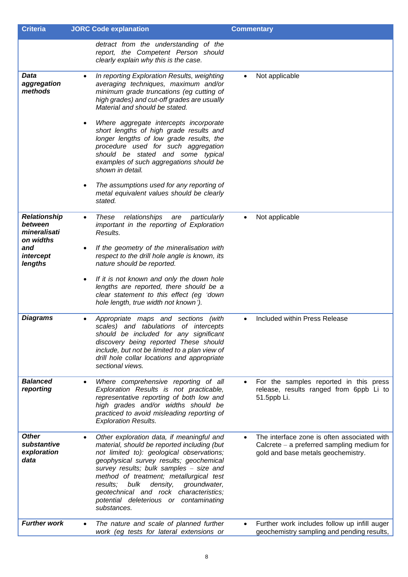| <b>Criteria</b>                                             | <b>JORC Code explanation</b>                                                                                                                                                                                                                                                                                                                                                                                                                                                                                                                                                                                  | <b>Commentary</b>                                                                                                                 |
|-------------------------------------------------------------|---------------------------------------------------------------------------------------------------------------------------------------------------------------------------------------------------------------------------------------------------------------------------------------------------------------------------------------------------------------------------------------------------------------------------------------------------------------------------------------------------------------------------------------------------------------------------------------------------------------|-----------------------------------------------------------------------------------------------------------------------------------|
|                                                             | detract from the understanding of the<br>report, the Competent Person should<br>clearly explain why this is the case.                                                                                                                                                                                                                                                                                                                                                                                                                                                                                         |                                                                                                                                   |
| <b>Data</b><br>aggregation<br>methods                       | In reporting Exploration Results, weighting<br>$\bullet$<br>averaging techniques, maximum and/or<br>minimum grade truncations (eg cutting of<br>high grades) and cut-off grades are usually<br>Material and should be stated.<br>Where aggregate intercepts incorporate<br>٠<br>short lengths of high grade results and<br>longer lengths of low grade results, the<br>procedure used for such aggregation<br>should be stated and some typical<br>examples of such aggregations should be<br>shown in detail.<br>The assumptions used for any reporting of<br>٠<br>metal equivalent values should be clearly | Not applicable                                                                                                                    |
|                                                             | stated.                                                                                                                                                                                                                                                                                                                                                                                                                                                                                                                                                                                                       |                                                                                                                                   |
| <b>Relationship</b><br>between<br>mineralisati<br>on widths | relationships<br>particularly<br>These<br>are<br>$\bullet$<br>important in the reporting of Exploration<br>Results.                                                                                                                                                                                                                                                                                                                                                                                                                                                                                           | Not applicable<br>$\bullet$                                                                                                       |
| and<br>intercept<br>lengths                                 | If the geometry of the mineralisation with<br>٠<br>respect to the drill hole angle is known, its<br>nature should be reported.                                                                                                                                                                                                                                                                                                                                                                                                                                                                                |                                                                                                                                   |
|                                                             | If it is not known and only the down hole<br>$\bullet$<br>lengths are reported, there should be a<br>clear statement to this effect (eg 'down<br>hole length, true width not known').                                                                                                                                                                                                                                                                                                                                                                                                                         |                                                                                                                                   |
| <b>Diagrams</b>                                             | Appropriate maps and sections<br>(with<br>٠<br>scales) and tabulations of intercepts<br>should be included for any significant<br>discovery being reported These should<br>include, but not be limited to a plan view of<br>drill hole collar locations and appropriate<br>sectional views.                                                                                                                                                                                                                                                                                                                   | Included within Press Release                                                                                                     |
| <b>Balanced</b><br>reporting                                | Where comprehensive reporting of all<br>$\bullet$<br>Exploration Results is not practicable,<br>representative reporting of both low and<br>high grades and/or widths should be<br>practiced to avoid misleading reporting of<br><b>Exploration Results.</b>                                                                                                                                                                                                                                                                                                                                                  | For the samples reported in this press<br>$\bullet$<br>release, results ranged from 6ppb Li to<br>51.5ppb Li.                     |
| <b>Other</b><br>substantive<br>exploration<br>data          | Other exploration data, if meaningful and<br>$\bullet$<br>material, should be reported including (but<br>not limited to): geological observations;<br>geophysical survey results; geochemical<br>survey results; bulk samples - size and<br>method of treatment; metallurgical test<br>bulk<br>density,<br>groundwater,<br>results:<br>geotechnical and rock characteristics;<br>potential deleterious or contaminating<br>substances.                                                                                                                                                                        | The interface zone is often associated with<br>Calcrete $-$ a preferred sampling medium for<br>gold and base metals geochemistry. |
| <b>Further work</b>                                         | The nature and scale of planned further<br>work (eg tests for lateral extensions or                                                                                                                                                                                                                                                                                                                                                                                                                                                                                                                           | Further work includes follow up infill auger<br>geochemistry sampling and pending results,                                        |